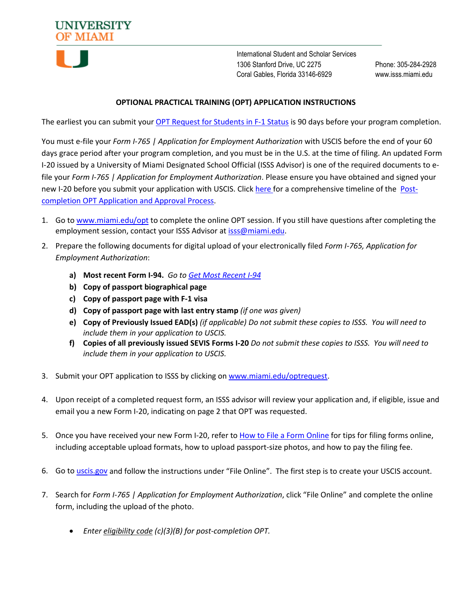

International Student and Scholar Services 1306 Stanford Drive, UC 2275 Phone: 305-284-2928 Coral Gables, Florida 33146-6929 www.isss.miami.edu

## **OPTIONAL PRACTICAL TRAINING (OPT) APPLICATION INSTRUCTIONS**

The earliest you can submit your [OPT Request for Students in F-1 Status](https://nam10.safelinks.protection.outlook.com/?url=https%3A%2F%2Fnextgensso2.com%2Fsp%2FstartSSO.ping%3FPartnerIdpId%3Dhttp%3A%2F%2Fauth.miami.edu%2Fadfs%2Fservices%2Ftrust%26SpSessionAuthnAdapterId%3DmiamiDF%26TargetResource%3Dhttps%253a%252f%252fdynamicforms.ngwebsolutions.com%252fSubmit%252fStart%252f99a637f8-647a-4a73-ac0b-67ca19b67cc1&data=04%7C01%7Ckponge%40miami.edu%7C4aea5940d25c4ba4842108d9bbead957%7C2a144b72f23942d48c0e6f0f17c48e33%7C0%7C0%7C637747439606008050%7CUnknown%7CTWFpbGZsb3d8eyJWIjoiMC4wLjAwMDAiLCJQIjoiV2luMzIiLCJBTiI6Ik1haWwiLCJXVCI6Mn0%3D%7C3000&sdata=OCVFlSbjqkpaY3D9sUpY6%2B9lEDzaGw1jNNOBuSg4gcw%3D&reserved=0) is 90 days before your program completion.

You must e-file your *Form I-765 | Application for Employment Authorization* with USCIS before the end of your 60 days grace period after your program completion, and you must be in the U.S. at the time of filing. An updated Form I-20 issued by a University of Miami Designated School Official (ISSS Advisor) is one of the required documents to efile your *Form I-765 | Application for Employment Authorization*. Please ensure you have obtained and signed your new I-20 before you submit your application with USCIS. Click [here](https://isss.miami.edu/_assets/pdf/133Timeline-PostCompOPT.pdf) for a comprehensive timeline of the [Post](https://isss.miami.edu/_assets/pdf/133Timeline-PostCompOPT.pdf)[completion OPT Application and Approval Process.](https://isss.miami.edu/_assets/pdf/133Timeline-PostCompOPT.pdf)

- 1. Go to<www.miami.edu/opt> to complete the online OPT session. If you still have questions after completing the employment session, contact your ISSS Advisor at [isss@miami.edu.](mailto:isss@miami.edu)
- 2. Prepare the following documents for digital upload of your electronically filed *Form I-765, Application for Employment Authorization*:
	- **a) Most recent Form I-94.** *Go t[o Get Most Recent I-94](https://i94.cbp.dhs.gov/I94/#/home)*
	- **b) Copy of passport biographical page**
	- **c) Copy of passport page with F-1 visa**
	- **d) Copy of passport page with last entry stamp** *(if one was given)*
	- **e) Copy of Previously Issued EAD(s)** *(if applicable) Do not submit these copies to ISSS. You will need to include them in your application to USCIS.*
	- **f) Copies of all previously issued SEVIS Forms I-20** *Do not submit these copies to ISSS. You will need to include them in your application to USCIS.*
- 3. Submit your OPT application to ISSS by clicking on [www.miami.edu/optrequest.](http://www.miami.edu/optrequest)
- 4. Upon receipt of a completed request form, an ISSS advisor will review your application and, if eligible, issue and email you a new Form I-20, indicating on page 2 that OPT was requested.
- 5. Once you have received your new Form I-20, refer to [How to File a Form Online](https://www.uscis.gov/file-online/tips-for-filing-forms-online) for tips for filing forms online, including acceptable upload formats, how to upload passport-size photos, and how to pay the filing fee.
- 6. Go to [uscis.gov](http://www.uscis.gov/) and follow the instructions under "File Online". The first step is to create your USCIS account.
- 7. Search for *Form I-765 | Application for Employment Authorization*, click "File Online" and complete the online form, including the upload of the photo.
	- *Enter eligibility code (c)(3)(B) for post-completion OPT.*